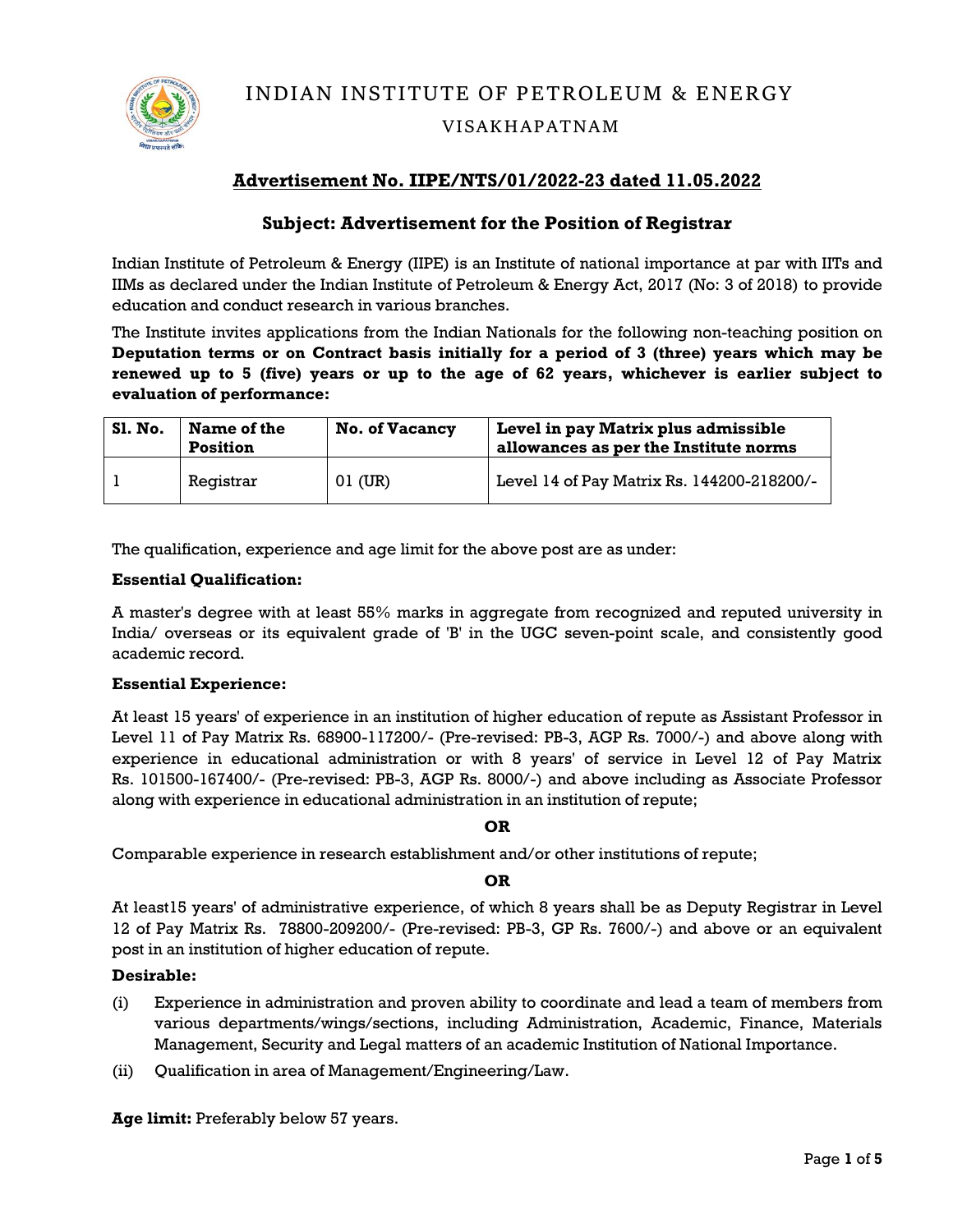

**INDIAN INSTITUTE OF PETROLEUM & ENERGY**

## **VISAKHAPATNAM**

# **Advertisement No. IIPE/NTS/01/2022-23 dated 11.05.2022**

## **Subject: Advertisement for the Position of Registrar**

Indian Institute of Petroleum & Energy (IIPE) is an Institute of national importance at par with IITs and IIMs as declared under the Indian Institute of Petroleum & Energy Act, 2017 (No: 3 of 2018) to provide education and conduct research in various branches.

The Institute invites applications from the Indian Nationals for the following non-teaching position on **Deputation terms or on Contract basis initially for a period of 3 (three) years which may be renewed up to 5 (five) years or up to the age of 62 years, whichever is earlier subject to evaluation of performance:**

| <b>S1. No.</b> | Name of the<br>Position | <b>No. of Vacancy</b> | Level in pay Matrix plus admissible<br>allowances as per the Institute norms |
|----------------|-------------------------|-----------------------|------------------------------------------------------------------------------|
|                | Registrar               | 01 (UR)               | Level 14 of Pay Matrix Rs. 144200-218200/-                                   |

The qualification, experience and age limit for the above post are as under:

#### **Essential Qualification:**

A master's degree with at least 55% marks in aggregate from recognized and reputed university in India/ overseas or its equivalent grade of 'B' in the UGC seven-point scale, and consistently good academic record.

### **Essential Experience:**

At least 15 years' of experience in an institution of higher education of repute as Assistant Professor in Level 11 of Pay Matrix Rs. 68900-117200/- (Pre-revised: PB-3, AGP Rs. 7000/-) and above along with experience in educational administration or with 8 years' of service in Level 12 of Pay Matrix Rs. 101500-167400/- (Pre-revised: PB-3, AGP Rs. 8000/-) and above including as Associate Professor along with experience in educational administration in an institution of repute;

**OR** 

Comparable experience in research establishment and/or other institutions of repute;

**OR**

At least15 years' of administrative experience, of which 8 years shall be as Deputy Registrar in Level 12 of Pay Matrix Rs. 78800-209200/- (Pre-revised: PB-3, GP Rs. 7600/-) and above or an equivalent post in an institution of higher education of repute.

### **Desirable:**

- (i) Experience in administration and proven ability to coordinate and lead a team of members from various departments/wings/sections, including Administration, Academic, Finance, Materials Management, Security and Legal matters of an academic Institution of National Importance.
- (ii) Qualification in area of Management/Engineering/Law.

**Age limit:** Preferably below 57 years.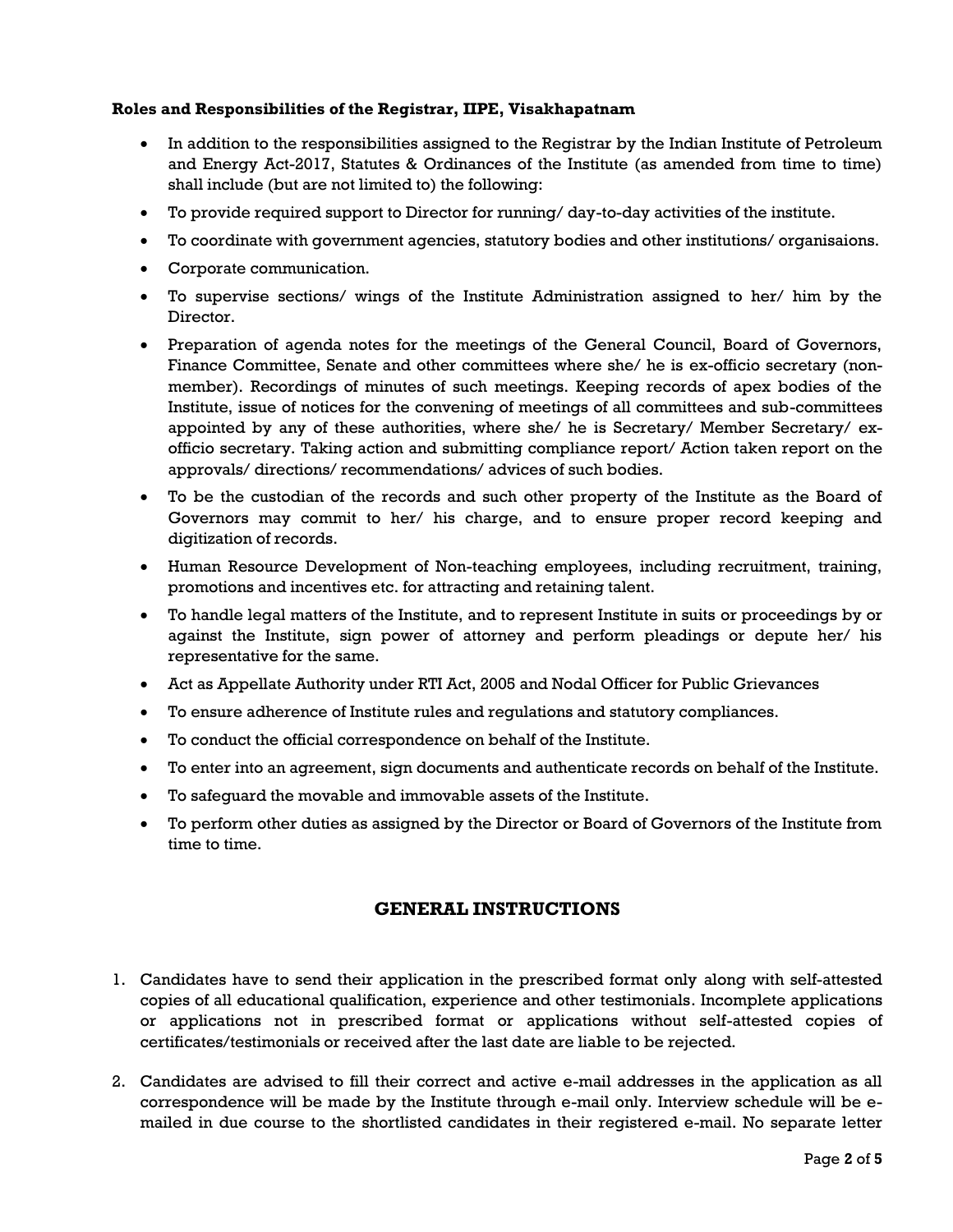### **Roles and Responsibilities of the Registrar, IIPE, Visakhapatnam**

- In addition to the responsibilities assigned to the Registrar by the Indian Institute of Petroleum and Energy Act-2017, Statutes & Ordinances of the Institute (as amended from time to time) shall include (but are not limited to) the following:
- To provide required support to Director for running/ day-to-day activities of the institute.
- To coordinate with government agencies, statutory bodies and other institutions/ organisaions.
- Corporate communication.
- To supervise sections/ wings of the Institute Administration assigned to her/ him by the Director.
- Preparation of agenda notes for the meetings of the General Council, Board of Governors, Finance Committee, Senate and other committees where she/ he is ex-officio secretary (nonmember). Recordings of minutes of such meetings. Keeping records of apex bodies of the Institute, issue of notices for the convening of meetings of all committees and sub-committees appointed by any of these authorities, where she/ he is Secretary/ Member Secretary/ exofficio secretary. Taking action and submitting compliance report/ Action taken report on the approvals/ directions/ recommendations/ advices of such bodies.
- To be the custodian of the records and such other property of the Institute as the Board of Governors may commit to her/ his charge, and to ensure proper record keeping and digitization of records.
- Human Resource Development of Non-teaching employees, including recruitment, training, promotions and incentives etc. for attracting and retaining talent.
- To handle legal matters of the Institute, and to represent Institute in suits or proceedings by or against the Institute, sign power of attorney and perform pleadings or depute her/ his representative for the same.
- Act as Appellate Authority under RTI Act, 2005 and Nodal Officer for Public Grievances
- To ensure adherence of Institute rules and regulations and statutory compliances.
- To conduct the official correspondence on behalf of the Institute.
- To enter into an agreement, sign documents and authenticate records on behalf of the Institute.
- To safeguard the movable and immovable assets of the Institute.
- To perform other duties as assigned by the Director or Board of Governors of the Institute from time to time.

### **GENERAL INSTRUCTIONS**

- 1. Candidates have to send their application in the prescribed format only along with self-attested copies of all educational qualification, experience and other testimonials. Incomplete applications or applications not in prescribed format or applications without self-attested copies of certificates/testimonials or received after the last date are liable to be rejected.
- 2. Candidates are advised to fill their correct and active e-mail addresses in the application as all correspondence will be made by the Institute through e-mail only. Interview schedule will be emailed in due course to the shortlisted candidates in their registered e-mail. No separate letter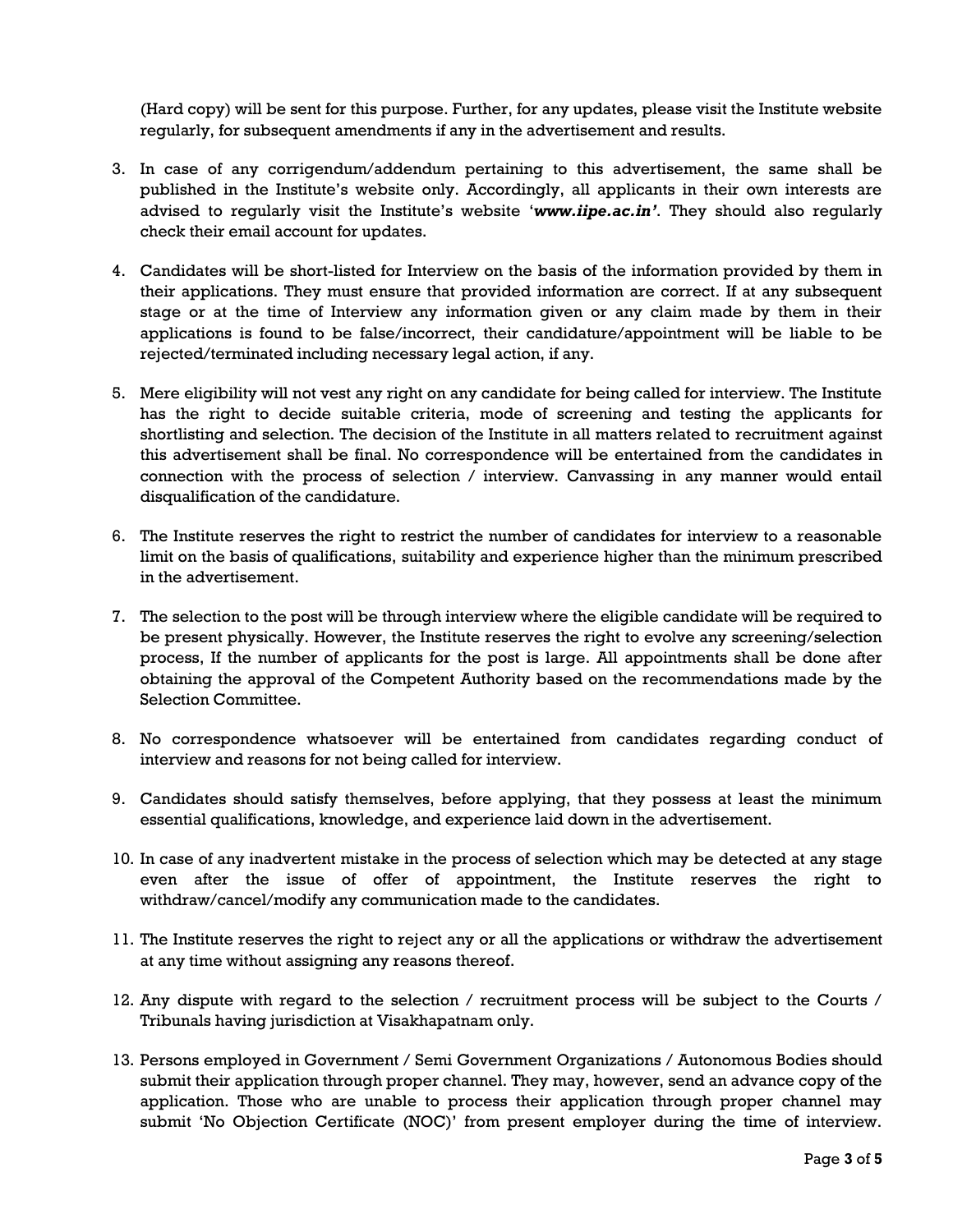(Hard copy) will be sent for this purpose. Further, for any updates, please visit the Institute website regularly, for subsequent amendments if any in the advertisement and results.

- 3. In case of any corrigendum/addendum pertaining to this advertisement, the same shall be published in the Institute's website only. Accordingly, all applicants in their own interests are advised to regularly visit the Institute's website '*www.iipe.ac.in'*. They should also regularly check their email account for updates.
- 4. Candidates will be short-listed for Interview on the basis of the information provided by them in their applications. They must ensure that provided information are correct. If at any subsequent stage or at the time of Interview any information given or any claim made by them in their applications is found to be false/incorrect, their candidature/appointment will be liable to be rejected/terminated including necessary legal action, if any.
- 5. Mere eligibility will not vest any right on any candidate for being called for interview. The Institute has the right to decide suitable criteria, mode of screening and testing the applicants for shortlisting and selection. The decision of the Institute in all matters related to recruitment against this advertisement shall be final. No correspondence will be entertained from the candidates in connection with the process of selection / interview. Canvassing in any manner would entail disqualification of the candidature.
- 6. The Institute reserves the right to restrict the number of candidates for interview to a reasonable limit on the basis of qualifications, suitability and experience higher than the minimum prescribed in the advertisement.
- 7. The selection to the post will be through interview where the eligible candidate will be required to be present physically. However, the Institute reserves the right to evolve any screening/selection process, If the number of applicants for the post is large. All appointments shall be done after obtaining the approval of the Competent Authority based on the recommendations made by the Selection Committee.
- 8. No correspondence whatsoever will be entertained from candidates regarding conduct of interview and reasons for not being called for interview.
- 9. Candidates should satisfy themselves, before applying, that they possess at least the minimum essential qualifications, knowledge, and experience laid down in the advertisement.
- 10. In case of any inadvertent mistake in the process of selection which may be detected at any stage even after the issue of offer of appointment, the Institute reserves the right to withdraw/cancel/modify any communication made to the candidates.
- 11. The Institute reserves the right to reject any or all the applications or withdraw the advertisement at any time without assigning any reasons thereof.
- 12. Any dispute with regard to the selection / recruitment process will be subject to the Courts / Tribunals having jurisdiction at Visakhapatnam only.
- 13. Persons employed in Government / Semi Government Organizations / Autonomous Bodies should submit their application through proper channel. They may, however, send an advance copy of the application. Those who are unable to process their application through proper channel may submit 'No Objection Certificate (NOC)' from present employer during the time of interview.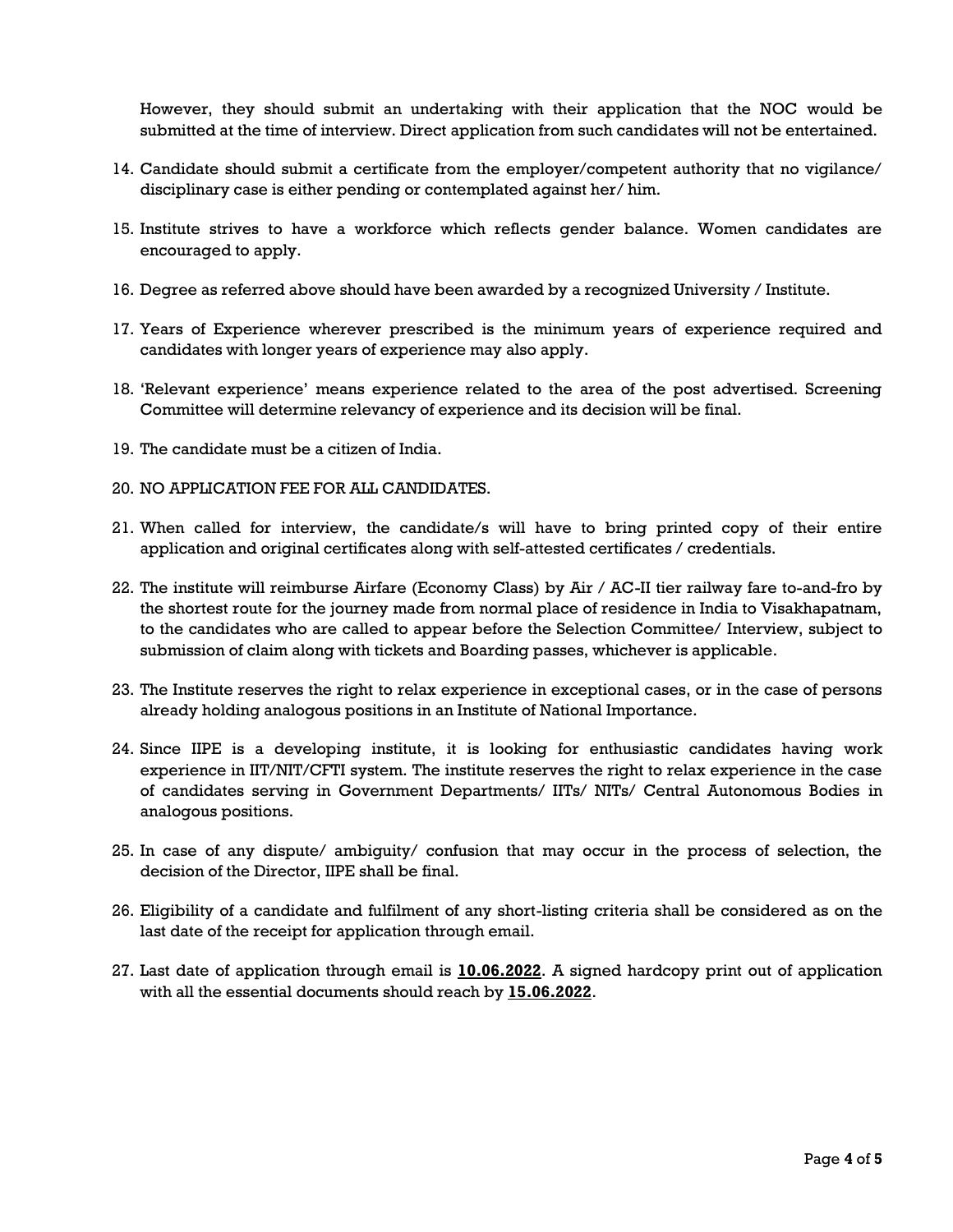However, they should submit an undertaking with their application that the NOC would be submitted at the time of interview. Direct application from such candidates will not be entertained.

- 14. Candidate should submit a certificate from the employer/competent authority that no vigilance/ disciplinary case is either pending or contemplated against her/ him.
- 15. Institute strives to have a workforce which reflects gender balance. Women candidates are encouraged to apply.
- 16. Degree as referred above should have been awarded by a recognized University / Institute.
- 17. Years of Experience wherever prescribed is the minimum years of experience required and candidates with longer years of experience may also apply.
- 18. 'Relevant experience' means experience related to the area of the post advertised. Screening Committee will determine relevancy of experience and its decision will be final.
- 19. The candidate must be a citizen of India.
- 20. NO APPLICATION FEE FOR ALL CANDIDATES.
- 21. When called for interview, the candidate/s will have to bring printed copy of their entire application and original certificates along with self-attested certificates / credentials.
- 22. The institute will reimburse Airfare (Economy Class) by Air / AC-II tier railway fare to-and-fro by the shortest route for the journey made from normal place of residence in India to Visakhapatnam, to the candidates who are called to appear before the Selection Committee/ Interview, subject to submission of claim along with tickets and Boarding passes, whichever is applicable.
- 23. The Institute reserves the right to relax experience in exceptional cases, or in the case of persons already holding analogous positions in an Institute of National Importance.
- 24. Since IIPE is a developing institute, it is looking for enthusiastic candidates having work experience in IIT/NIT/CFTI system. The institute reserves the right to relax experience in the case of candidates serving in Government Departments/ IITs/ NITs/ Central Autonomous Bodies in analogous positions.
- 25. In case of any dispute/ ambiguity/ confusion that may occur in the process of selection, the decision of the Director, IIPE shall be final.
- 26. Eligibility of a candidate and fulfilment of any short-listing criteria shall be considered as on the last date of the receipt for application through email.
- 27. Last date of application through email is **10.06.2022**. A signed hardcopy print out of application with all the essential documents should reach by **15.06.2022**.